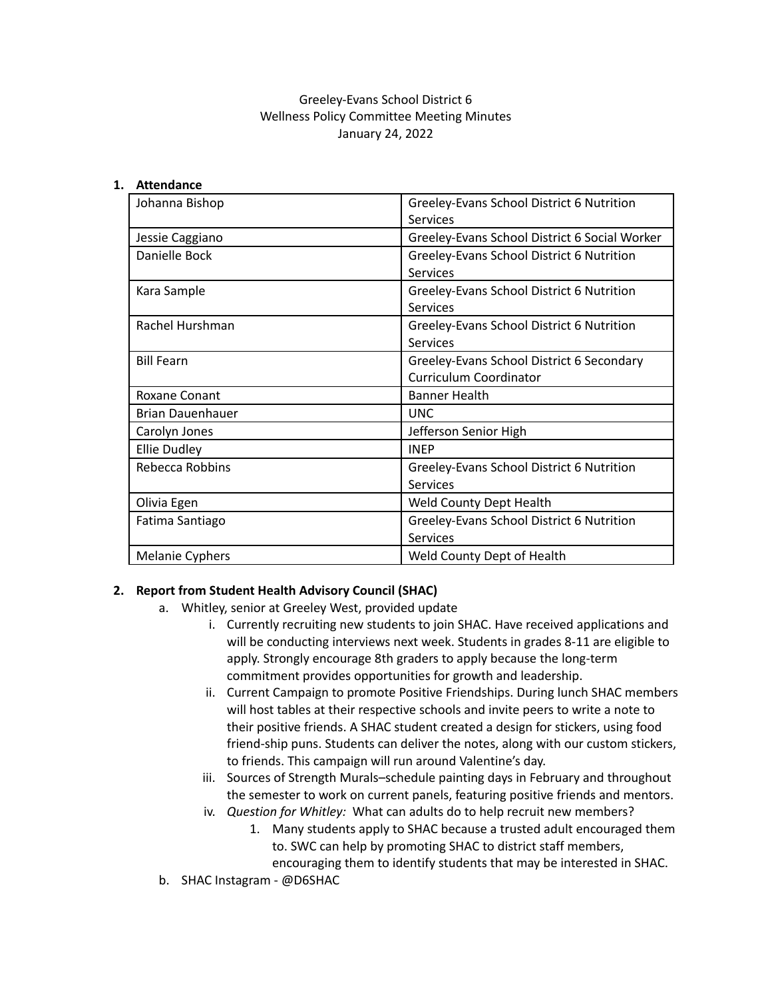# Greeley-Evans School District 6 Wellness Policy Committee Meeting Minutes January 24, 2022

### **1. Attendance**

| Johanna Bishop          | Greeley-Evans School District 6 Nutrition     |
|-------------------------|-----------------------------------------------|
|                         | Services                                      |
| Jessie Caggiano         | Greeley-Evans School District 6 Social Worker |
| Danielle Bock           | Greeley-Evans School District 6 Nutrition     |
|                         | Services                                      |
| Kara Sample             | Greeley-Evans School District 6 Nutrition     |
|                         | <b>Services</b>                               |
| Rachel Hurshman         | Greeley-Evans School District 6 Nutrition     |
|                         | <b>Services</b>                               |
| <b>Bill Fearn</b>       | Greeley-Evans School District 6 Secondary     |
|                         | <b>Curriculum Coordinator</b>                 |
| Roxane Conant           | <b>Banner Health</b>                          |
| <b>Brian Dauenhauer</b> | <b>UNC</b>                                    |
| Carolyn Jones           | Jefferson Senior High                         |
| <b>Ellie Dudley</b>     | <b>INEP</b>                                   |
| Rebecca Robbins         | Greeley-Evans School District 6 Nutrition     |
|                         | Services                                      |
| Olivia Egen             | Weld County Dept Health                       |
| Fatima Santiago         | Greeley-Evans School District 6 Nutrition     |
|                         | <b>Services</b>                               |
| <b>Melanie Cyphers</b>  | Weld County Dept of Health                    |

### **2. Report from Student Health Advisory Council (SHAC)**

- a. Whitley, senior at Greeley West, provided update
	- i. Currently recruiting new students to join SHAC. Have received applications and will be conducting interviews next week. Students in grades 8-11 are eligible to apply. Strongly encourage 8th graders to apply because the long-term commitment provides opportunities for growth and leadership.
	- ii. Current Campaign to promote Positive Friendships. During lunch SHAC members will host tables at their respective schools and invite peers to write a note to their positive friends. A SHAC student created a design for stickers, using food friend-ship puns. Students can deliver the notes, along with our custom stickers, to friends. This campaign will run around Valentine's day.
	- iii. Sources of Strength Murals–schedule painting days in February and throughout the semester to work on current panels, featuring positive friends and mentors.
	- iv. *Question for Whitley:* What can adults do to help recruit new members?
		- 1. Many students apply to SHAC because a trusted adult encouraged them to. SWC can help by promoting SHAC to district staff members, encouraging them to identify students that may be interested in SHAC.
- b. SHAC Instagram @D6SHAC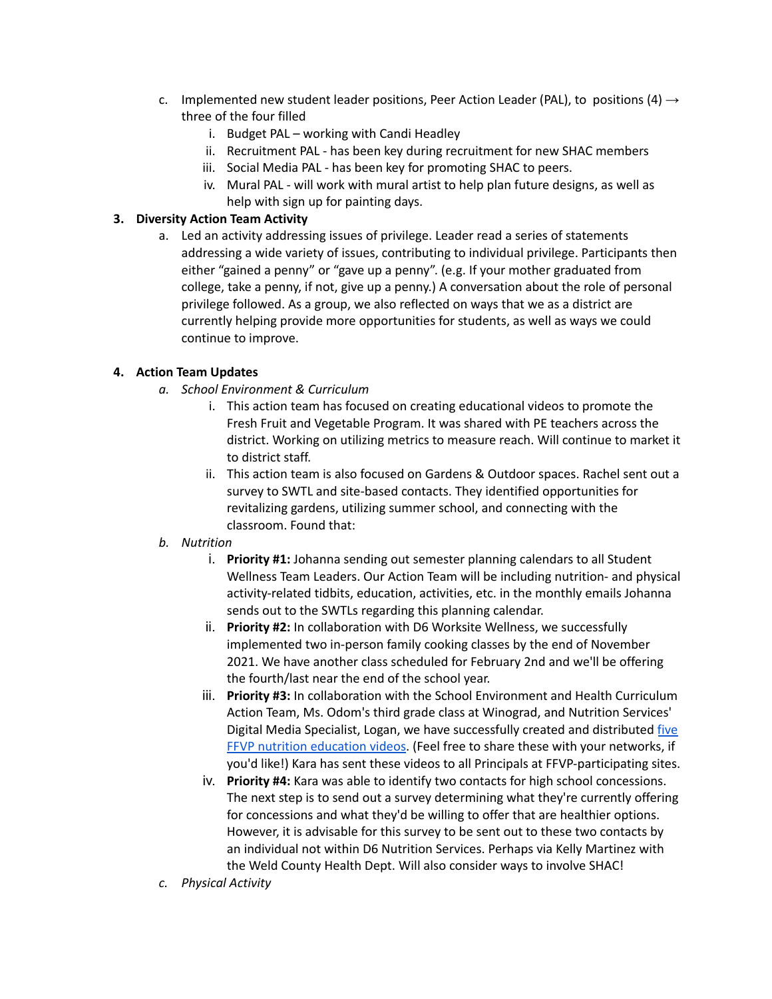- c. Implemented new student leader positions, Peer Action Leader (PAL), to positions (4)  $\rightarrow$ three of the four filled
	- i. Budget PAL working with Candi Headley
	- ii. Recruitment PAL has been key during recruitment for new SHAC members
	- iii. Social Media PAL has been key for promoting SHAC to peers.
	- iv. Mural PAL will work with mural artist to help plan future designs, as well as help with sign up for painting days.

## **3. Diversity Action Team Activity**

a. Led an activity addressing issues of privilege. Leader read a series of statements addressing a wide variety of issues, contributing to individual privilege. Participants then either "gained a penny" or "gave up a penny". (e.g. If your mother graduated from college, take a penny, if not, give up a penny.) A conversation about the role of personal privilege followed. As a group, we also reflected on ways that we as a district are currently helping provide more opportunities for students, as well as ways we could continue to improve.

## **4. Action Team Updates**

- *a. School Environment & Curriculum*
	- i. This action team has focused on creating educational videos to promote the Fresh Fruit and Vegetable Program. It was shared with PE teachers across the district. Working on utilizing metrics to measure reach. Will continue to market it to district staff.
	- ii. This action team is also focused on Gardens & Outdoor spaces. Rachel sent out a survey to SWTL and site-based contacts. They identified opportunities for revitalizing gardens, utilizing summer school, and connecting with the classroom. Found that:
- *b. Nutrition*
	- i. **Priority #1:** Johanna sending out semester planning calendars to all Student Wellness Team Leaders. Our Action Team will be including nutrition- and physical activity-related tidbits, education, activities, etc. in the monthly emails Johanna sends out to the SWTLs regarding this planning calendar.
	- ii. **Priority #2:** In collaboration with D6 Worksite Wellness, we successfully implemented two in-person family cooking classes by the end of November 2021. We have another class scheduled for February 2nd and we'll be offering the fourth/last near the end of the school year.
	- iii. **Priority #3:** In collaboration with the School Environment and Health Curriculum Action Team, Ms. Odom's third grade class at Winograd, and Nutrition Services' Digital Media Specialist, Logan, we have successfully created and distributed [five](https://www.youtube.com/playlist?list=PLCZ9Z89NoPwF6FzhikkRYpwX0wMb-9rOo) FFVP nutrition [education](https://www.youtube.com/playlist?list=PLCZ9Z89NoPwF6FzhikkRYpwX0wMb-9rOo) videos. (Feel free to share these with your networks, if you'd like!) Kara has sent these videos to all Principals at FFVP-participating sites.
	- iv. **Priority #4:** Kara was able to identify two contacts for high school concessions. The next step is to send out a survey determining what they're currently offering for concessions and what they'd be willing to offer that are healthier options. However, it is advisable for this survey to be sent out to these two contacts by an individual not within D6 Nutrition Services. Perhaps via Kelly Martinez with the Weld County Health Dept. Will also consider ways to involve SHAC!
- *c. Physical Activity*